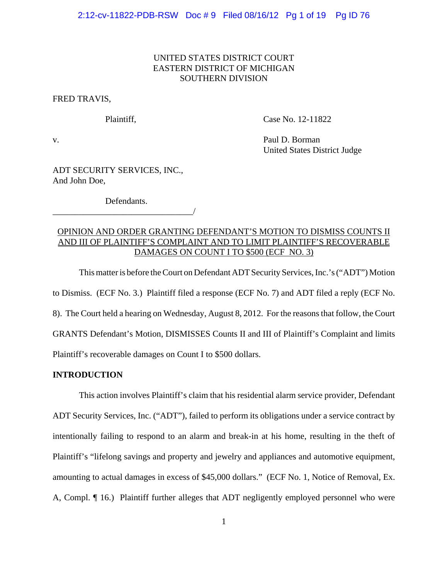## UNITED STATES DISTRICT COURT EASTERN DISTRICT OF MICHIGAN SOUTHERN DIVISION

FRED TRAVIS,

Plaintiff, Case No. 12-11822

v. Paul D. Borman United States District Judge

ADT SECURITY SERVICES, INC., And John Doe,

Defendants. \_\_\_\_\_\_\_\_\_\_\_\_\_\_\_\_\_\_\_\_\_\_\_\_\_\_\_\_\_\_\_\_/

## OPINION AND ORDER GRANTING DEFENDANT'S MOTION TO DISMISS COUNTS II AND III OF PLAINTIFF'S COMPLAINT AND TO LIMIT PLAINTIFF'S RECOVERABLE DAMAGES ON COUNT I TO \$500 (ECF NO. 3)

This matter is before the Court on Defendant ADT Security Services, Inc.'s ("ADT") Motion to Dismiss. (ECF No. 3.) Plaintiff filed a response (ECF No. 7) and ADT filed a reply (ECF No. 8). The Court held a hearing on Wednesday, August 8, 2012. For the reasons that follow, the Court GRANTS Defendant's Motion, DISMISSES Counts II and III of Plaintiff's Complaint and limits Plaintiff's recoverable damages on Count I to \$500 dollars.

### **INTRODUCTION**

This action involves Plaintiff's claim that his residential alarm service provider, Defendant ADT Security Services, Inc. ("ADT"), failed to perform its obligations under a service contract by intentionally failing to respond to an alarm and break-in at his home, resulting in the theft of Plaintiff's "lifelong savings and property and jewelry and appliances and automotive equipment, amounting to actual damages in excess of \$45,000 dollars." (ECF No. 1, Notice of Removal, Ex. A, Compl. ¶ 16.) Plaintiff further alleges that ADT negligently employed personnel who were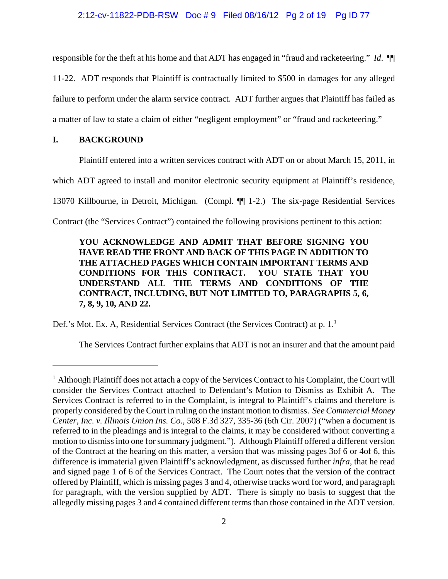### 2:12-cv-11822-PDB-RSW Doc # 9 Filed 08/16/12 Pg 2 of 19 Pg ID 77

responsible for the theft at his home and that ADT has engaged in "fraud and racketeering." *Id*. ¶¶ 11-22. ADT responds that Plaintiff is contractually limited to \$500 in damages for any alleged failure to perform under the alarm service contract. ADT further argues that Plaintiff has failed as a matter of law to state a claim of either "negligent employment" or "fraud and racketeering."

#### **I. BACKGROUND**

Plaintiff entered into a written services contract with ADT on or about March 15, 2011, in

which ADT agreed to install and monitor electronic security equipment at Plaintiff's residence,

13070 Killbourne, in Detroit, Michigan. (Compl. ¶¶ 1-2.) The six-page Residential Services

Contract (the "Services Contract") contained the following provisions pertinent to this action:

# **YOU ACKNOWLEDGE AND ADMIT THAT BEFORE SIGNING YOU HAVE READ THE FRONT AND BACK OF THIS PAGE IN ADDITION TO THE ATTACHED PAGES WHICH CONTAIN IMPORTANT TERMS AND CONDITIONS FOR THIS CONTRACT. YOU STATE THAT YOU UNDERSTAND ALL THE TERMS AND CONDITIONS OF THE CONTRACT, INCLUDING, BUT NOT LIMITED TO, PARAGRAPHS 5, 6, 7, 8, 9, 10, AND 22.**

Def.'s Mot. Ex. A, Residential Services Contract (the Services Contract) at p.  $1<sup>1</sup>$ 

The Services Contract further explains that ADT is not an insurer and that the amount paid

<sup>&</sup>lt;sup>1</sup> Although Plaintiff does not attach a copy of the Services Contract to his Complaint, the Court will consider the Services Contract attached to Defendant's Motion to Dismiss as Exhibit A. The Services Contract is referred to in the Complaint, is integral to Plaintiff's claims and therefore is properly considered by the Court in ruling on the instant motion to dismiss. *See Commercial Money Center, Inc. v. Illinois Union Ins. Co.*, 508 F.3d 327, 335-36 (6th Cir. 2007) ("when a document is referred to in the pleadings and is integral to the claims, it may be considered without converting a motion to dismiss into one for summary judgment."). Although Plaintiff offered a different version of the Contract at the hearing on this matter, a version that was missing pages 3of 6 or 4of 6, this difference is immaterial given Plaintiff's acknowledgment, as discussed further *infra*, that he read and signed page 1 of 6 of the Services Contract. The Court notes that the version of the contract offered by Plaintiff, which is missing pages 3 and 4, otherwise tracks word for word, and paragraph for paragraph, with the version supplied by ADT. There is simply no basis to suggest that the allegedly missing pages 3 and 4 contained different terms than those contained in the ADT version.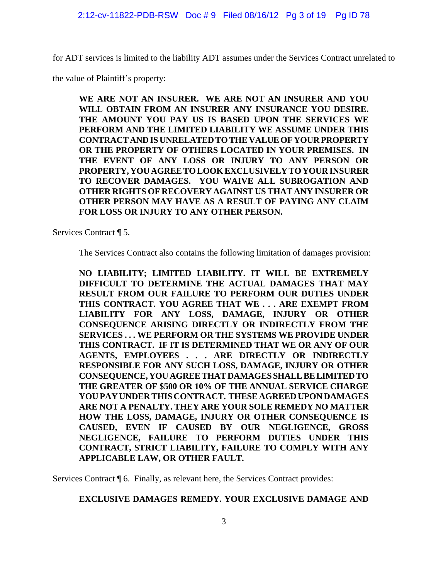for ADT services is limited to the liability ADT assumes under the Services Contract unrelated to

the value of Plaintiff's property:

**WE ARE NOT AN INSURER. WE ARE NOT AN INSURER AND YOU WILL OBTAIN FROM AN INSURER ANY INSURANCE YOU DESIRE. THE AMOUNT YOU PAY US IS BASED UPON THE SERVICES WE PERFORM AND THE LIMITED LIABILITY WE ASSUME UNDER THIS CONTRACT AND IS UNRELATED TO THE VALUE OF YOUR PROPERTY OR THE PROPERTY OF OTHERS LOCATED IN YOUR PREMISES. IN THE EVENT OF ANY LOSS OR INJURY TO ANY PERSON OR PROPERTY, YOU AGREE TO LOOK EXCLUSIVELY TO YOUR INSURER TO RECOVER DAMAGES. YOU WAIVE ALL SUBROGATION AND OTHER RIGHTS OF RECOVERY AGAINST US THAT ANY INSURER OR OTHER PERSON MAY HAVE AS A RESULT OF PAYING ANY CLAIM FOR LOSS OR INJURY TO ANY OTHER PERSON.**

Services Contract ¶ 5.

The Services Contract also contains the following limitation of damages provision:

**NO LIABILITY; LIMITED LIABILITY. IT WILL BE EXTREMELY DIFFICULT TO DETERMINE THE ACTUAL DAMAGES THAT MAY RESULT FROM OUR FAILURE TO PERFORM OUR DUTIES UNDER THIS CONTRACT. YOU AGREE THAT WE . . . ARE EXEMPT FROM LIABILITY FOR ANY LOSS, DAMAGE, INJURY OR OTHER CONSEQUENCE ARISING DIRECTLY OR INDIRECTLY FROM THE SERVICES . . . WE PERFORM OR THE SYSTEMS WE PROVIDE UNDER THIS CONTRACT. IF IT IS DETERMINED THAT WE OR ANY OF OUR AGENTS, EMPLOYEES . . . ARE DIRECTLY OR INDIRECTLY RESPONSIBLE FOR ANY SUCH LOSS, DAMAGE, INJURY OR OTHER CONSEQUENCE, YOU AGREE THAT DAMAGES SHALL BE LIMITED TO THE GREATER OF \$500 OR 10% OF THE ANNUAL SERVICE CHARGE YOU PAY UNDER THIS CONTRACT. THESE AGREED UPON DAMAGES ARE NOT A PENALTY. THEY ARE YOUR SOLE REMEDY NO MATTER HOW THE LOSS, DAMAGE, INJURY OR OTHER CONSEQUENCE IS CAUSED, EVEN IF CAUSED BY OUR NEGLIGENCE, GROSS NEGLIGENCE, FAILURE TO PERFORM DUTIES UNDER THIS CONTRACT, STRICT LIABILITY, FAILURE TO COMPLY WITH ANY APPLICABLE LAW, OR OTHER FAULT.**

Services Contract ¶ 6. Finally, as relevant here, the Services Contract provides:

# **EXCLUSIVE DAMAGES REMEDY. YOUR EXCLUSIVE DAMAGE AND**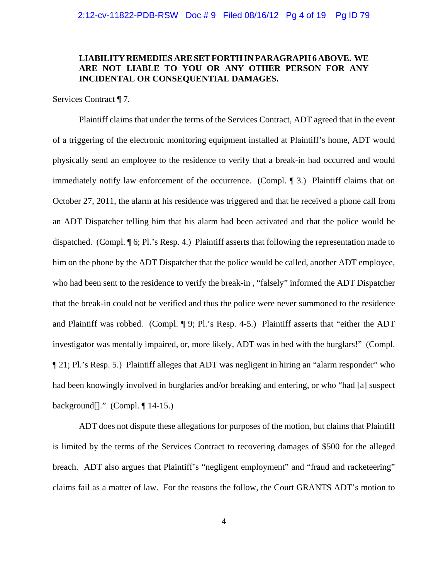## **LIABILITY REMEDIES ARE SET FORTH IN PARAGRAPH 6 ABOVE. WE ARE NOT LIABLE TO YOU OR ANY OTHER PERSON FOR ANY INCIDENTAL OR CONSEQUENTIAL DAMAGES.**

Services Contract ¶ 7.

Plaintiff claims that under the terms of the Services Contract, ADT agreed that in the event of a triggering of the electronic monitoring equipment installed at Plaintiff's home, ADT would physically send an employee to the residence to verify that a break-in had occurred and would immediately notify law enforcement of the occurrence. (Compl. ¶ 3.) Plaintiff claims that on October 27, 2011, the alarm at his residence was triggered and that he received a phone call from an ADT Dispatcher telling him that his alarm had been activated and that the police would be dispatched. (Compl. ¶ 6; Pl.'s Resp. 4.) Plaintiff asserts that following the representation made to him on the phone by the ADT Dispatcher that the police would be called, another ADT employee, who had been sent to the residence to verify the break-in , "falsely" informed the ADT Dispatcher that the break-in could not be verified and thus the police were never summoned to the residence and Plaintiff was robbed. (Compl. ¶ 9; Pl.'s Resp. 4-5.) Plaintiff asserts that "either the ADT investigator was mentally impaired, or, more likely, ADT was in bed with the burglars!" (Compl. ¶ 21; Pl.'s Resp. 5.) Plaintiff alleges that ADT was negligent in hiring an "alarm responder" who had been knowingly involved in burglaries and/or breaking and entering, or who "had [a] suspect background[]." (Compl. ¶ 14-15.)

ADT does not dispute these allegations for purposes of the motion, but claims that Plaintiff is limited by the terms of the Services Contract to recovering damages of \$500 for the alleged breach. ADT also argues that Plaintiff's "negligent employment" and "fraud and racketeering" claims fail as a matter of law. For the reasons the follow, the Court GRANTS ADT's motion to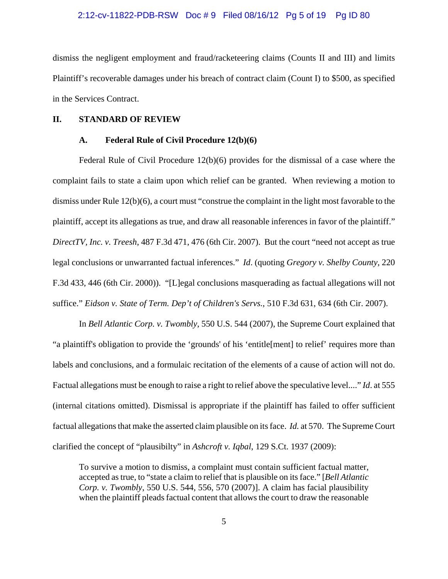#### 2:12-cv-11822-PDB-RSW Doc # 9 Filed 08/16/12 Pg 5 of 19 Pg ID 80

dismiss the negligent employment and fraud/racketeering claims (Counts II and III) and limits Plaintiff's recoverable damages under his breach of contract claim (Count I) to \$500, as specified in the Services Contract.

#### **II. STANDARD OF REVIEW**

### **A. Federal Rule of Civil Procedure 12(b)(6)**

Federal Rule of Civil Procedure 12(b)(6) provides for the dismissal of a case where the complaint fails to state a claim upon which relief can be granted. When reviewing a motion to dismiss under Rule 12(b)(6), a court must "construe the complaint in the light most favorable to the plaintiff, accept its allegations as true, and draw all reasonable inferences in favor of the plaintiff." *DirectTV, Inc. v. Treesh*, 487 F.3d 471, 476 (6th Cir. 2007). But the court "need not accept as true legal conclusions or unwarranted factual inferences." *Id*. (quoting *Gregory v. Shelby County*, 220 F.3d 433, 446 (6th Cir. 2000)). "[L]egal conclusions masquerading as factual allegations will not suffice." *Eidson v. State of Term. Dep't of Children's Servs.*, 510 F.3d 631, 634 (6th Cir. 2007).

In *Bell Atlantic Corp. v. Twombly*, 550 U.S. 544 (2007), the Supreme Court explained that "a plaintiff's obligation to provide the 'grounds' of his 'entitle[ment] to relief' requires more than labels and conclusions, and a formulaic recitation of the elements of a cause of action will not do. Factual allegations must be enough to raise a right to relief above the speculative level...." *Id*. at 555 (internal citations omitted). Dismissal is appropriate if the plaintiff has failed to offer sufficient factual allegations that make the asserted claim plausible on its face. *Id.* at 570. The Supreme Court clarified the concept of "plausibilty" in *Ashcroft v. Iqbal*, 129 S.Ct. 1937 (2009):

To survive a motion to dismiss, a complaint must contain sufficient factual matter, accepted as true, to "state a claim to relief that is plausible on its face." [*Bell Atlantic Corp. v. Twombly*, 550 U.S. 544, 556, 570 (2007)]. A claim has facial plausibility when the plaintiff pleads factual content that allows the court to draw the reasonable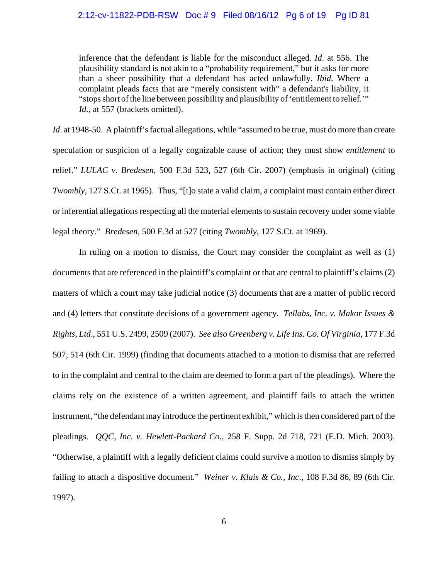inference that the defendant is liable for the misconduct alleged. *Id*. at 556. The plausibility standard is not akin to a "probability requirement," but it asks for more than a sheer possibility that a defendant has acted unlawfully. *Ibid*. Where a complaint pleads facts that are "merely consistent with" a defendant's liability, it "stops short of the line between possibility and plausibility of 'entitlement to relief.'" Id., at 557 (brackets omitted).

*Id.* at 1948-50. A plaintiff's factual allegations, while "assumed to be true, must do more than create speculation or suspicion of a legally cognizable cause of action; they must show *entitlement* to relief." *LULAC v. Bredesen*, 500 F.3d 523, 527 (6th Cir. 2007) (emphasis in original) (citing *Twombly*, 127 S.Ct. at 1965). Thus, "[t]o state a valid claim, a complaint must contain either direct or inferential allegations respecting all the material elements to sustain recovery under some viable legal theory." *Bredesen*, 500 F.3d at 527 (citing *Twombly*, 127 S.Ct. at 1969).

In ruling on a motion to dismiss, the Court may consider the complaint as well as (1) documents that are referenced in the plaintiff's complaint or that are central to plaintiff's claims (2) matters of which a court may take judicial notice (3) documents that are a matter of public record and (4) letters that constitute decisions of a government agency. *Tellabs, Inc. v. Makor Issues & Rights, Ltd*., 551 U.S. 2499, 2509 (2007).*See also Greenberg v. Life Ins. Co. Of Virginia*, 177 F.3d 507, 514 (6th Cir. 1999) (finding that documents attached to a motion to dismiss that are referred to in the complaint and central to the claim are deemed to form a part of the pleadings). Where the claims rely on the existence of a written agreement, and plaintiff fails to attach the written instrument, "the defendant may introduce the pertinent exhibit," which is then considered part of the pleadings. *QQC, Inc. v. Hewlett-Packard Co*., 258 F. Supp. 2d 718, 721 (E.D. Mich. 2003). "Otherwise, a plaintiff with a legally deficient claims could survive a motion to dismiss simply by failing to attach a dispositive document." *Weiner v. Klais & Co., Inc*., 108 F.3d 86, 89 (6th Cir. 1997).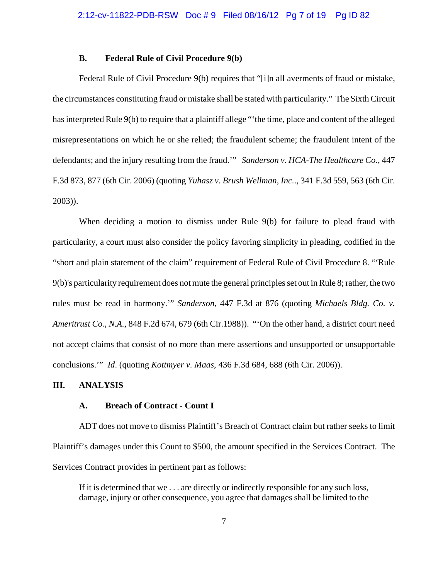#### **B. Federal Rule of Civil Procedure 9(b)**

Federal Rule of Civil Procedure 9(b) requires that "[i]n all averments of fraud or mistake, the circumstances constituting fraud or mistake shall be stated with particularity." The Sixth Circuit has interpreted Rule 9(b) to require that a plaintiff allege "'the time, place and content of the alleged misrepresentations on which he or she relied; the fraudulent scheme; the fraudulent intent of the defendants; and the injury resulting from the fraud.'" *Sanderson v. HCA-The Healthcare Co*., 447 F.3d 873, 877 (6th Cir. 2006) (quoting *Yuhasz v. Brush Wellman, Inc.*., 341 F.3d 559, 563 (6th Cir. 2003)).

When deciding a motion to dismiss under Rule 9(b) for failure to plead fraud with particularity, a court must also consider the policy favoring simplicity in pleading, codified in the "short and plain statement of the claim" requirement of Federal Rule of Civil Procedure 8. "'Rule 9(b)'s particularity requirement does not mute the general principles set out in Rule 8; rather, the two rules must be read in harmony.'" *Sanderson*, 447 F.3d at 876 (quoting *Michaels Bldg. Co. v. Ameritrust Co., N.A.*, 848 F.2d 674, 679 (6th Cir.1988)). "'On the other hand, a district court need not accept claims that consist of no more than mere assertions and unsupported or unsupportable conclusions.'" *Id*. (quoting *Kottmyer v. Maas*, 436 F.3d 684, 688 (6th Cir. 2006)).

### **III. ANALYSIS**

#### **A. Breach of Contract - Count I**

ADT does not move to dismiss Plaintiff's Breach of Contract claim but rather seeks to limit Plaintiff's damages under this Count to \$500, the amount specified in the Services Contract. The Services Contract provides in pertinent part as follows:

If it is determined that we . . . are directly or indirectly responsible for any such loss, damage, injury or other consequence, you agree that damages shall be limited to the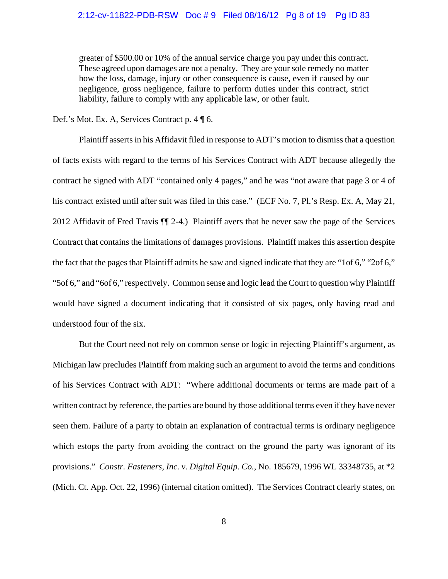greater of \$500.00 or 10% of the annual service charge you pay under this contract. These agreed upon damages are not a penalty. They are your sole remedy no matter how the loss, damage, injury or other consequence is cause, even if caused by our negligence, gross negligence, failure to perform duties under this contract, strict liability, failure to comply with any applicable law, or other fault.

Def.'s Mot. Ex. A, Services Contract p. 4 ¶ 6.

Plaintiff asserts in his Affidavit filed in response to ADT's motion to dismiss that a question of facts exists with regard to the terms of his Services Contract with ADT because allegedly the contract he signed with ADT "contained only 4 pages," and he was "not aware that page 3 or 4 of his contract existed until after suit was filed in this case." (ECF No. 7, Pl.'s Resp. Ex. A, May 21, 2012 Affidavit of Fred Travis ¶¶ 2-4.) Plaintiff avers that he never saw the page of the Services Contract that contains the limitations of damages provisions. Plaintiff makes this assertion despite the fact that the pages that Plaintiff admits he saw and signed indicate that they are "1of 6," "2of 6," "5of 6," and "6of 6," respectively. Common sense and logic lead the Court to question why Plaintiff would have signed a document indicating that it consisted of six pages, only having read and understood four of the six.

But the Court need not rely on common sense or logic in rejecting Plaintiff's argument, as Michigan law precludes Plaintiff from making such an argument to avoid the terms and conditions of his Services Contract with ADT: "Where additional documents or terms are made part of a written contract by reference, the parties are bound by those additional terms even if they have never seen them. Failure of a party to obtain an explanation of contractual terms is ordinary negligence which estops the party from avoiding the contract on the ground the party was ignorant of its provisions." *Constr. Fasteners, Inc. v. Digital Equip. Co.*, No. 185679, 1996 WL 33348735, at \*2 (Mich. Ct. App. Oct. 22, 1996) (internal citation omitted). The Services Contract clearly states, on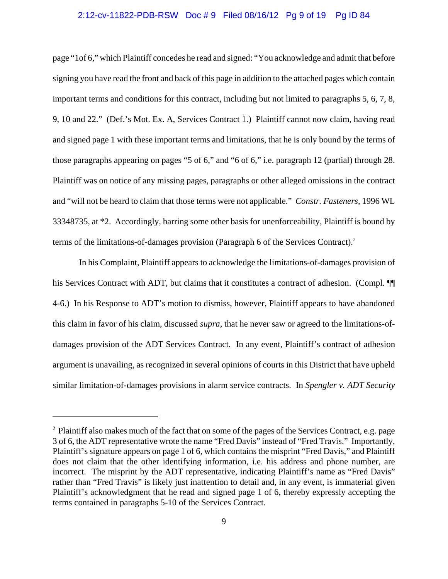#### 2:12-cv-11822-PDB-RSW Doc # 9 Filed 08/16/12 Pg 9 of 19 Pg ID 84

page "1of 6," which Plaintiff concedes he read and signed: "You acknowledge and admit that before signing you have read the front and back of this page in addition to the attached pages which contain important terms and conditions for this contract, including but not limited to paragraphs 5, 6, 7, 8, 9, 10 and 22." (Def.'s Mot. Ex. A, Services Contract 1.) Plaintiff cannot now claim, having read and signed page 1 with these important terms and limitations, that he is only bound by the terms of those paragraphs appearing on pages "5 of 6," and "6 of 6," i.e. paragraph 12 (partial) through 28. Plaintiff was on notice of any missing pages, paragraphs or other alleged omissions in the contract and "will not be heard to claim that those terms were not applicable." *Constr. Fasteners*, 1996 WL 33348735, at \*2. Accordingly, barring some other basis for unenforceability, Plaintiff is bound by terms of the limitations-of-damages provision (Paragraph 6 of the Services Contract).<sup>2</sup>

In his Complaint, Plaintiff appears to acknowledge the limitations-of-damages provision of his Services Contract with ADT, but claims that it constitutes a contract of adhesion. (Compl.  $\P$ 4-6.) In his Response to ADT's motion to dismiss, however, Plaintiff appears to have abandoned this claim in favor of his claim, discussed *supra*, that he never saw or agreed to the limitations-ofdamages provision of the ADT Services Contract. In any event, Plaintiff's contract of adhesion argument is unavailing, as recognized in several opinions of courts in this District that have upheld similar limitation-of-damages provisions in alarm service contracts. In *Spengler v. ADT Security*

<sup>&</sup>lt;sup>2</sup> Plaintiff also makes much of the fact that on some of the pages of the Services Contract, e.g. page 3 of 6, the ADT representative wrote the name "Fred Davis" instead of "Fred Travis." Importantly, Plaintiff's signature appears on page 1 of 6, which contains the misprint "Fred Davis," and Plaintiff does not claim that the other identifying information, i.e. his address and phone number, are incorrect. The misprint by the ADT representative, indicating Plaintiff's name as "Fred Davis" rather than "Fred Travis" is likely just inattention to detail and, in any event, is immaterial given Plaintiff's acknowledgment that he read and signed page 1 of 6, thereby expressly accepting the terms contained in paragraphs 5-10 of the Services Contract.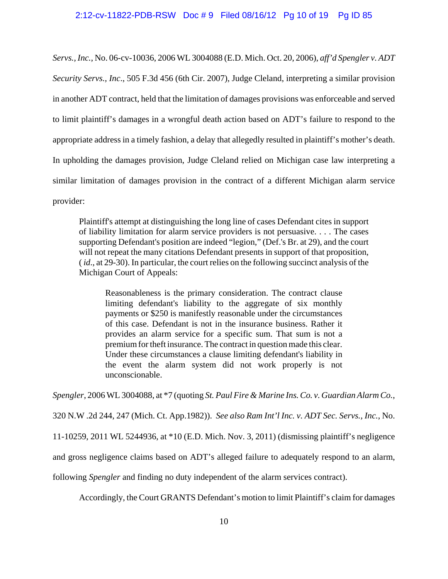#### 2:12-cv-11822-PDB-RSW Doc # 9 Filed 08/16/12 Pg 10 of 19 Pg ID 85

*Servs., Inc.*, No. 06-cv-10036, 2006 WL 3004088 (E.D. Mich. Oct. 20, 2006), *aff'd Spengler v. ADT Security Servs., Inc*., 505 F.3d 456 (6th Cir. 2007), Judge Cleland, interpreting a similar provision in another ADT contract, held that the limitation of damages provisions was enforceable and served to limit plaintiff's damages in a wrongful death action based on ADT's failure to respond to the appropriate address in a timely fashion, a delay that allegedly resulted in plaintiff's mother's death. In upholding the damages provision, Judge Cleland relied on Michigan case law interpreting a similar limitation of damages provision in the contract of a different Michigan alarm service provider:

Plaintiff's attempt at distinguishing the long line of cases Defendant cites in support of liability limitation for alarm service providers is not persuasive. . . . The cases supporting Defendant's position are indeed "legion," (Def.'s Br. at 29), and the court will not repeat the many citations Defendant presents in support of that proposition, ( *id*., at 29-30). In particular, the court relies on the following succinct analysis of the Michigan Court of Appeals:

Reasonableness is the primary consideration. The contract clause limiting defendant's liability to the aggregate of six monthly payments or \$250 is manifestly reasonable under the circumstances of this case. Defendant is not in the insurance business. Rather it provides an alarm service for a specific sum. That sum is not a premium for theft insurance. The contract in question made this clear. Under these circumstances a clause limiting defendant's liability in the event the alarm system did not work properly is not unconscionable.

*Spengler*, 2006 WL 3004088, at \*7 (quoting *St. Paul Fire & Marine Ins. Co. v. Guardian Alarm Co.*,

320 N.W .2d 244, 247 (Mich. Ct. App.1982)).*See also Ram Int'l Inc. v. ADT Sec. Servs., Inc.*, No.

11-10259, 2011 WL 5244936, at \*10 (E.D. Mich. Nov. 3, 2011) (dismissing plaintiff's negligence

and gross negligence claims based on ADT's alleged failure to adequately respond to an alarm,

following *Spengler* and finding no duty independent of the alarm services contract).

Accordingly, the Court GRANTS Defendant's motion to limit Plaintiff's claim for damages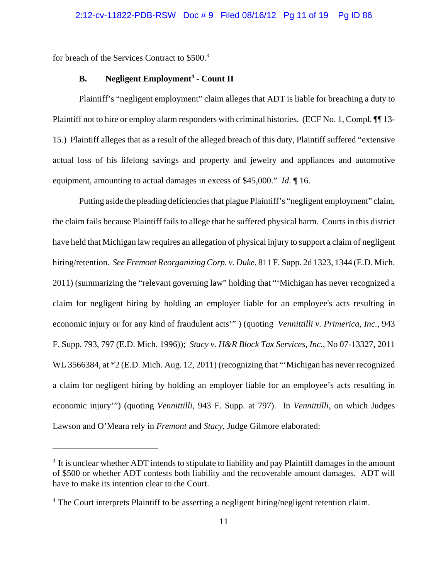for breach of the Services Contract to \$500.3

## **B.** Negligent Employment<sup>4</sup> - Count II

Plaintiff's "negligent employment" claim alleges that ADT is liable for breaching a duty to Plaintiff not to hire or employ alarm responders with criminal histories. (ECF No. 1, Compl. ¶¶ 13- 15.) Plaintiff alleges that as a result of the alleged breach of this duty, Plaintiff suffered "extensive actual loss of his lifelong savings and property and jewelry and appliances and automotive equipment, amounting to actual damages in excess of \$45,000." *Id*. ¶ 16.

Putting aside the pleading deficiencies that plague Plaintiff's "negligent employment" claim, the claim fails because Plaintiff fails to allege that he suffered physical harm. Courts in this district have held that Michigan law requires an allegation of physical injury to support a claim of negligent hiring/retention. *See Fremont Reorganizing Corp. v. Duke,* 811 F. Supp. 2d 1323, 1344 (E.D. Mich. 2011) (summarizing the "relevant governing law" holding that "'Michigan has never recognized a claim for negligent hiring by holding an employer liable for an employee's acts resulting in economic injury or for any kind of fraudulent acts'" ) (quoting *Vennittilli v. Primerica, Inc.*, 943 F. Supp. 793, 797 (E.D. Mich. 1996)); *Stacy v. H&R Block Tax Services, Inc.*, No 07-13327, 2011 WL 3566384, at \*2 (E.D. Mich. Aug. 12, 2011) (recognizing that "'Michigan has never recognized a claim for negligent hiring by holding an employer liable for an employee's acts resulting in economic injury'") (quoting *Vennittilli*, 943 F. Supp. at 797). In *Vennittilli*, on which Judges Lawson and O'Meara rely in *Fremont* and *Stacy*, Judge Gilmore elaborated:

 $3\,$  It is unclear whether ADT intends to stipulate to liability and pay Plaintiff damages in the amount of \$500 or whether ADT contests both liability and the recoverable amount damages. ADT will have to make its intention clear to the Court.

<sup>&</sup>lt;sup>4</sup> The Court interprets Plaintiff to be asserting a negligent hiring/negligent retention claim.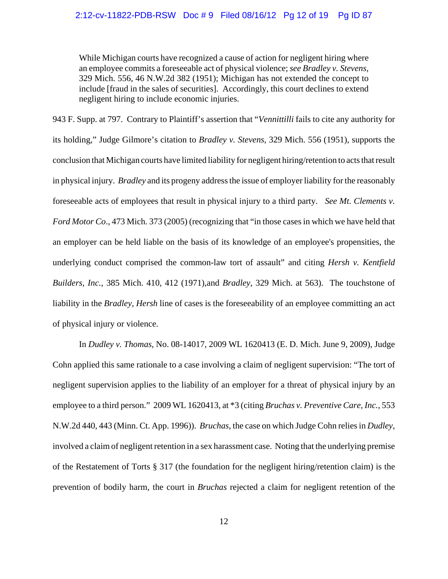## 2:12-cv-11822-PDB-RSW Doc # 9 Filed 08/16/12 Pg 12 of 19 Pg ID 87

While Michigan courts have recognized a cause of action for negligent hiring where an employee commits a foreseeable act of physical violence; *see Bradley v. Stevens*, 329 Mich. 556, 46 N.W.2d 382 (1951); Michigan has not extended the concept to include [fraud in the sales of securities]. Accordingly, this court declines to extend negligent hiring to include economic injuries.

943 F. Supp. at 797. Contrary to Plaintiff's assertion that "*Vennittilli* fails to cite any authority for its holding," Judge Gilmore's citation to *Bradley v. Stevens*, 329 Mich. 556 (1951), supports the conclusion that Michigan courts have limited liability for negligent hiring/retention to acts that result in physical injury. *Bradley* and its progeny address the issue of employer liability for the reasonably foreseeable acts of employees that result in physical injury to a third party. *See Mt. Clements v. Ford Motor Co*., 473 Mich. 373 (2005) (recognizing that "in those cases in which we have held that an employer can be held liable on the basis of its knowledge of an employee's propensities, the underlying conduct comprised the common-law tort of assault" and citing *Hersh v. Kentfield Builders, Inc.,* 385 Mich. 410, 412 (1971),and *Bradley*, 329 Mich. at 563). The touchstone of liability in the *Bradley*, *Hersh* line of cases is the foreseeability of an employee committing an act of physical injury or violence.

In *Dudley v. Thomas*, No. 08-14017, 2009 WL 1620413 (E. D. Mich. June 9, 2009), Judge Cohn applied this same rationale to a case involving a claim of negligent supervision: "The tort of negligent supervision applies to the liability of an employer for a threat of physical injury by an employee to a third person." 2009 WL 1620413, at \*3 (citing *Bruchas v. Preventive Care, Inc.*, 553 N.W.2d 440, 443 (Minn. Ct. App. 1996)). *Bruchas*, the case on which Judge Cohn relies in *Dudley*, involved a claim of negligent retention in a sex harassment case. Noting that the underlying premise of the Restatement of Torts § 317 (the foundation for the negligent hiring/retention claim) is the prevention of bodily harm, the court in *Bruchas* rejected a claim for negligent retention of the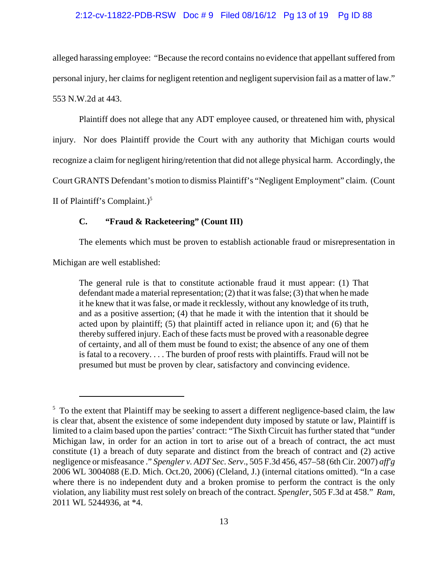#### 2:12-cv-11822-PDB-RSW Doc # 9 Filed 08/16/12 Pg 13 of 19 Pg ID 88

alleged harassing employee: "Because the record contains no evidence that appellant suffered from personal injury, her claims for negligent retention and negligent supervision fail as a matter of law." 553 N.W.2d at 443.

Plaintiff does not allege that any ADT employee caused, or threatened him with, physical injury. Nor does Plaintiff provide the Court with any authority that Michigan courts would recognize a claim for negligent hiring/retention that did not allege physical harm. Accordingly, the Court GRANTS Defendant's motion to dismiss Plaintiff's "Negligent Employment" claim. (Count II of Plaintiff's Complaint.) $<sup>5</sup>$ </sup>

#### **C. "Fraud & Racketeering" (Count III)**

The elements which must be proven to establish actionable fraud or misrepresentation in

Michigan are well established:

The general rule is that to constitute actionable fraud it must appear: (1) That defendant made a material representation; (2) that it was false; (3) that when he made it he knew that it was false, or made it recklessly, without any knowledge of its truth, and as a positive assertion; (4) that he made it with the intention that it should be acted upon by plaintiff; (5) that plaintiff acted in reliance upon it; and (6) that he thereby suffered injury. Each of these facts must be proved with a reasonable degree of certainty, and all of them must be found to exist; the absence of any one of them is fatal to a recovery. . . . The burden of proof rests with plaintiffs. Fraud will not be presumed but must be proven by clear, satisfactory and convincing evidence.

 $5\text{ T}$  To the extent that Plaintiff may be seeking to assert a different negligence-based claim, the law is clear that, absent the existence of some independent duty imposed by statute or law, Plaintiff is limited to a claim based upon the parties' contract: "The Sixth Circuit has further stated that "under Michigan law, in order for an action in tort to arise out of a breach of contract, the act must constitute (1) a breach of duty separate and distinct from the breach of contract and (2) active negligence or misfeasance ." *Spengler v. ADT Sec. Serv*., 505 F.3d 456, 457–58 (6th Cir. 2007) *aff'g* 2006 WL 3004088 (E.D. Mich. Oct.20, 2006) (Cleland, J.) (internal citations omitted). "In a case where there is no independent duty and a broken promise to perform the contract is the only violation, any liability must rest solely on breach of the contract. *Spengler*, 505 F.3d at 458." *Ram*, 2011 WL 5244936, at \*4.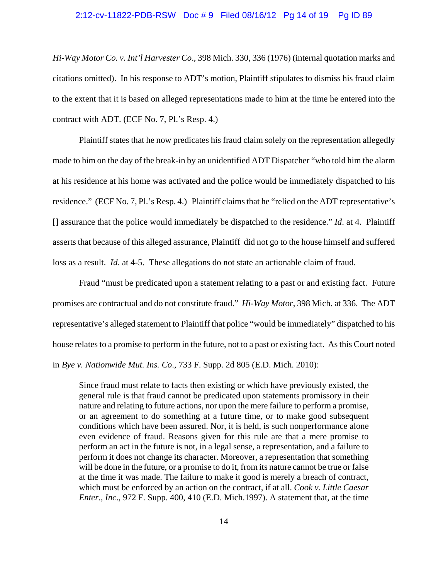#### 2:12-cv-11822-PDB-RSW Doc # 9 Filed 08/16/12 Pg 14 of 19 Pg ID 89

*Hi-Way Motor Co. v. Int'l Harvester Co*., 398 Mich. 330, 336 (1976) (internal quotation marks and citations omitted). In his response to ADT's motion, Plaintiff stipulates to dismiss his fraud claim to the extent that it is based on alleged representations made to him at the time he entered into the contract with ADT. (ECF No. 7, Pl.'s Resp. 4.)

Plaintiff states that he now predicates his fraud claim solely on the representation allegedly made to him on the day of the break-in by an unidentified ADT Dispatcher "who told him the alarm at his residence at his home was activated and the police would be immediately dispatched to his residence." (ECF No. 7, Pl.'s Resp. 4.) Plaintiff claims that he "relied on the ADT representative's [] assurance that the police would immediately be dispatched to the residence." *Id*. at 4. Plaintiff asserts that because of this alleged assurance, Plaintiff did not go to the house himself and suffered loss as a result. *Id*. at 4-5. These allegations do not state an actionable claim of fraud.

Fraud "must be predicated upon a statement relating to a past or and existing fact. Future promises are contractual and do not constitute fraud." *Hi-Way Motor*, 398 Mich. at 336. The ADT representative's alleged statement to Plaintiff that police "would be immediately" dispatched to his house relates to a promise to perform in the future, not to a past or existing fact. As this Court noted in *Bye v. Nationwide Mut. Ins. Co*., 733 F. Supp. 2d 805 (E.D. Mich. 2010):

Since fraud must relate to facts then existing or which have previously existed, the general rule is that fraud cannot be predicated upon statements promissory in their nature and relating to future actions, nor upon the mere failure to perform a promise, or an agreement to do something at a future time, or to make good subsequent conditions which have been assured. Nor, it is held, is such nonperformance alone even evidence of fraud. Reasons given for this rule are that a mere promise to perform an act in the future is not, in a legal sense, a representation, and a failure to perform it does not change its character. Moreover, a representation that something will be done in the future, or a promise to do it, from its nature cannot be true or false at the time it was made. The failure to make it good is merely a breach of contract, which must be enforced by an action on the contract, if at all. *Cook v. Little Caesar Enter., Inc*., 972 F. Supp. 400, 410 (E.D. Mich.1997). A statement that, at the time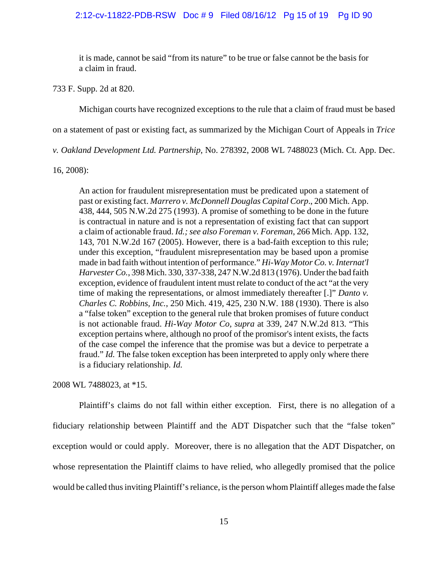#### 2:12-cv-11822-PDB-RSW Doc # 9 Filed 08/16/12 Pg 15 of 19 Pg ID 90

it is made, cannot be said "from its nature" to be true or false cannot be the basis for a claim in fraud.

733 F. Supp. 2d at 820.

Michigan courts have recognized exceptions to the rule that a claim of fraud must be based

on a statement of past or existing fact, as summarized by the Michigan Court of Appeals in *Trice*

*v. Oakland Development Ltd. Partnership*, No. 278392, 2008 WL 7488023 (Mich. Ct. App. Dec.

16, 2008):

An action for fraudulent misrepresentation must be predicated upon a statement of past or existing fact. *Marrero v. McDonnell Douglas Capital Corp*., 200 Mich. App. 438, 444, 505 N.W.2d 275 (1993). A promise of something to be done in the future is contractual in nature and is not a representation of existing fact that can support a claim of actionable fraud. *Id.; see also Foreman v. Foreman*, 266 Mich. App. 132, 143, 701 N.W.2d 167 (2005). However, there is a bad-faith exception to this rule; under this exception, "fraudulent misrepresentation may be based upon a promise made in bad faith without intention of performance." *Hi-Way Motor Co. v. Internat'l Harvester Co.*, 398 Mich. 330, 337-338, 247 N.W.2d 813 (1976). Under the bad faith exception, evidence of fraudulent intent must relate to conduct of the act "at the very time of making the representations, or almost immediately thereafter [.]" *Danto v. Charles C. Robbins, Inc.*, 250 Mich. 419, 425, 230 N.W. 188 (1930). There is also a "false token" exception to the general rule that broken promises of future conduct is not actionable fraud. *Hi-Way Motor Co, supra* at 339, 247 N.W.2d 813. "This exception pertains where, although no proof of the promisor's intent exists, the facts of the case compel the inference that the promise was but a device to perpetrate a fraud." *Id.* The false token exception has been interpreted to apply only where there is a fiduciary relationship. *Id.*

2008 WL 7488023, at \*15.

Plaintiff's claims do not fall within either exception. First, there is no allegation of a fiduciary relationship between Plaintiff and the ADT Dispatcher such that the "false token" exception would or could apply. Moreover, there is no allegation that the ADT Dispatcher, on whose representation the Plaintiff claims to have relied, who allegedly promised that the police would be called thus inviting Plaintiff's reliance, is the person whom Plaintiff alleges made the false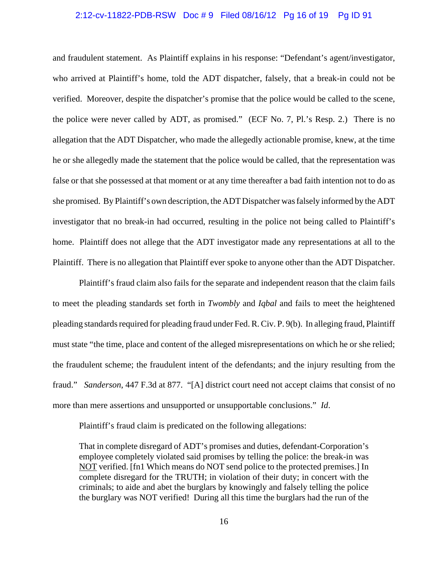## 2:12-cv-11822-PDB-RSW Doc # 9 Filed 08/16/12 Pg 16 of 19 Pg ID 91

and fraudulent statement. As Plaintiff explains in his response: "Defendant's agent/investigator, who arrived at Plaintiff's home, told the ADT dispatcher, falsely, that a break-in could not be verified. Moreover, despite the dispatcher's promise that the police would be called to the scene, the police were never called by ADT, as promised." (ECF No. 7, Pl.'s Resp. 2.) There is no allegation that the ADT Dispatcher, who made the allegedly actionable promise, knew, at the time he or she allegedly made the statement that the police would be called, that the representation was false or that she possessed at that moment or at any time thereafter a bad faith intention not to do as she promised. By Plaintiff's own description, the ADT Dispatcher was falsely informed by the ADT investigator that no break-in had occurred, resulting in the police not being called to Plaintiff's home. Plaintiff does not allege that the ADT investigator made any representations at all to the Plaintiff. There is no allegation that Plaintiff ever spoke to anyone other than the ADT Dispatcher.

Plaintiff's fraud claim also fails for the separate and independent reason that the claim fails to meet the pleading standards set forth in *Twombly* and *Iqbal* and fails to meet the heightened pleading standards required for pleading fraud under Fed. R. Civ. P. 9(b). In alleging fraud, Plaintiff must state "the time, place and content of the alleged misrepresentations on which he or she relied; the fraudulent scheme; the fraudulent intent of the defendants; and the injury resulting from the fraud." *Sanderson*, 447 F.3d at 877. "[A] district court need not accept claims that consist of no more than mere assertions and unsupported or unsupportable conclusions." *Id*.

Plaintiff's fraud claim is predicated on the following allegations:

That in complete disregard of ADT's promises and duties, defendant-Corporation's employee completely violated said promises by telling the police: the break-in was NOT verified. [fn1 Which means do NOT send police to the protected premises.] In complete disregard for the TRUTH; in violation of their duty; in concert with the criminals; to aide and abet the burglars by knowingly and falsely telling the police the burglary was NOT verified! During all this time the burglars had the run of the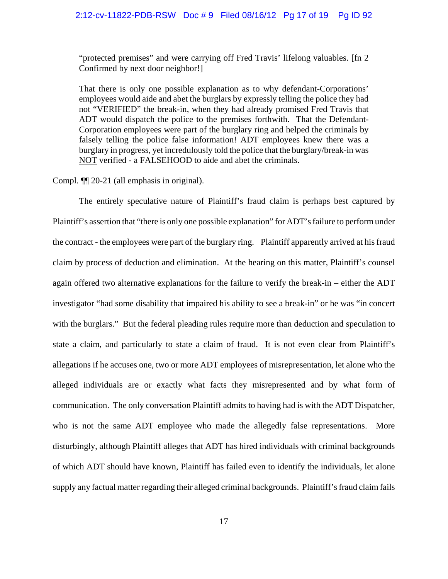"protected premises" and were carrying off Fred Travis' lifelong valuables. [fn 2 Confirmed by next door neighbor!]

That there is only one possible explanation as to why defendant-Corporations' employees would aide and abet the burglars by expressly telling the police they had not "VERIFIED" the break-in, when they had already promised Fred Travis that ADT would dispatch the police to the premises forthwith. That the Defendant-Corporation employees were part of the burglary ring and helped the criminals by falsely telling the police false information! ADT employees knew there was a burglary in progress, yet incredulously told the police that the burglary/break-in was NOT verified - a FALSEHOOD to aide and abet the criminals.

Compl. ¶¶ 20-21 (all emphasis in original).

The entirely speculative nature of Plaintiff's fraud claim is perhaps best captured by Plaintiff's assertion that "there is only one possible explanation" for ADT's failure to perform under the contract - the employees were part of the burglary ring. Plaintiff apparently arrived at his fraud claim by process of deduction and elimination. At the hearing on this matter, Plaintiff's counsel again offered two alternative explanations for the failure to verify the break-in – either the ADT investigator "had some disability that impaired his ability to see a break-in" or he was "in concert with the burglars." But the federal pleading rules require more than deduction and speculation to state a claim, and particularly to state a claim of fraud. It is not even clear from Plaintiff's allegations if he accuses one, two or more ADT employees of misrepresentation, let alone who the alleged individuals are or exactly what facts they misrepresented and by what form of communication. The only conversation Plaintiff admits to having had is with the ADT Dispatcher, who is not the same ADT employee who made the allegedly false representations. More disturbingly, although Plaintiff alleges that ADT has hired individuals with criminal backgrounds of which ADT should have known, Plaintiff has failed even to identify the individuals, let alone supply any factual matter regarding their alleged criminal backgrounds. Plaintiff's fraud claim fails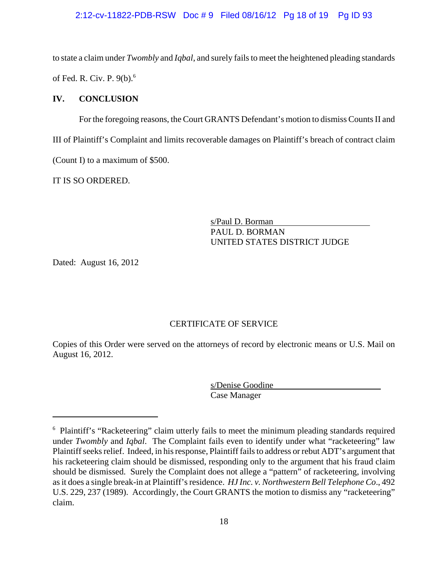#### 2:12-cv-11822-PDB-RSW Doc # 9 Filed 08/16/12 Pg 18 of 19 Pg ID 93

to state a claim under *Twombly* and *Iqbal*, and surely fails to meet the heightened pleading standards of Fed. R. Civ. P. 9(b).<sup>6</sup>

#### **IV. CONCLUSION**

For the foregoing reasons, the Court GRANTS Defendant's motion to dismiss Counts II and III of Plaintiff's Complaint and limits recoverable damages on Plaintiff's breach of contract claim (Count I) to a maximum of \$500.

IT IS SO ORDERED.

s/Paul D. Borman PAUL D. BORMAN UNITED STATES DISTRICT JUDGE

Dated: August 16, 2012

### CERTIFICATE OF SERVICE

Copies of this Order were served on the attorneys of record by electronic means or U.S. Mail on August 16, 2012.

> s/Denise Goodine Case Manager

<sup>6</sup> Plaintiff's "Racketeering" claim utterly fails to meet the minimum pleading standards required under *Twombly* and *Iqbal*. The Complaint fails even to identify under what "racketeering" law Plaintiff seeks relief. Indeed, in his response, Plaintiff fails to address or rebut ADT's argument that his racketeering claim should be dismissed, responding only to the argument that his fraud claim should be dismissed. Surely the Complaint does not allege a "pattern" of racketeering, involving as it does a single break-in at Plaintiff's residence. *HJ Inc. v. Northwestern Bell Telephone Co*., 492 U.S. 229, 237 (1989). Accordingly, the Court GRANTS the motion to dismiss any "racketeering" claim.